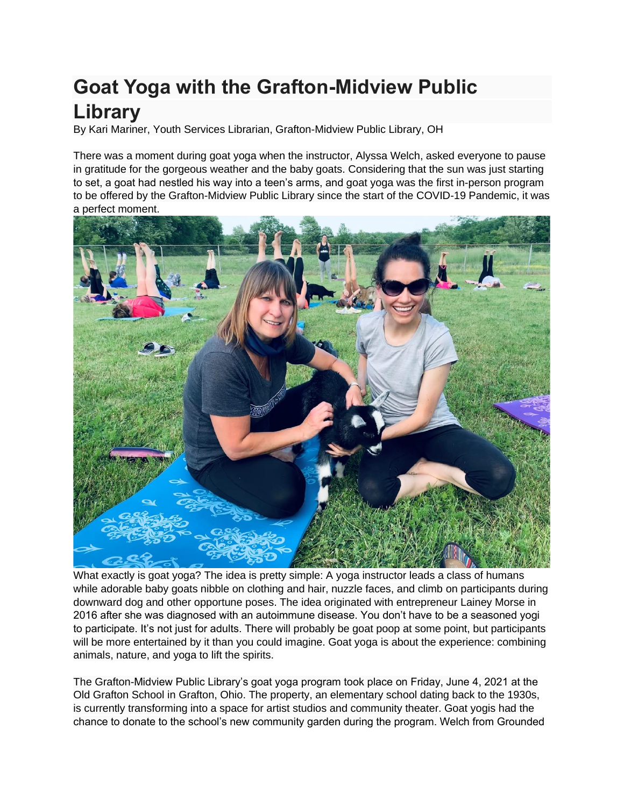## **Goat Yoga with the Grafton-Midview Public Library**

By Kari Mariner, Youth Services Librarian, Grafton-Midview Public Library, OH

There was a moment during goat yoga when the instructor, Alyssa Welch, asked everyone to pause in gratitude for the gorgeous weather and the baby goats. Considering that the sun was just starting to set, a goat had nestled his way into a teen's arms, and goat yoga was the first in-person program to be offered by the Grafton-Midview Public Library since the start of the COVID-19 Pandemic, it was a perfect moment.



What exactly is goat yoga? The idea is pretty simple: A yoga instructor leads a class of humans while adorable baby goats nibble on clothing and hair, nuzzle faces, and climb on participants during downward dog and other opportune poses. The idea originated with entrepreneur Lainey Morse in 2016 after she was diagnosed with an autoimmune disease. You don't have to be a seasoned yogi to participate. It's not just for adults. There will probably be goat poop at some point, but participants will be more entertained by it than you could imagine. Goat yoga is about the experience: combining animals, nature, and yoga to lift the spirits.

The Grafton-Midview Public Library's goat yoga program took place on Friday, June 4, 2021 at the Old Grafton School in Grafton, Ohio. The property, an elementary school dating back to the 1930s, is currently transforming into a space for artist studios and community theater. Goat yogis had the chance to donate to the school's new community garden during the program. Welch from Grounded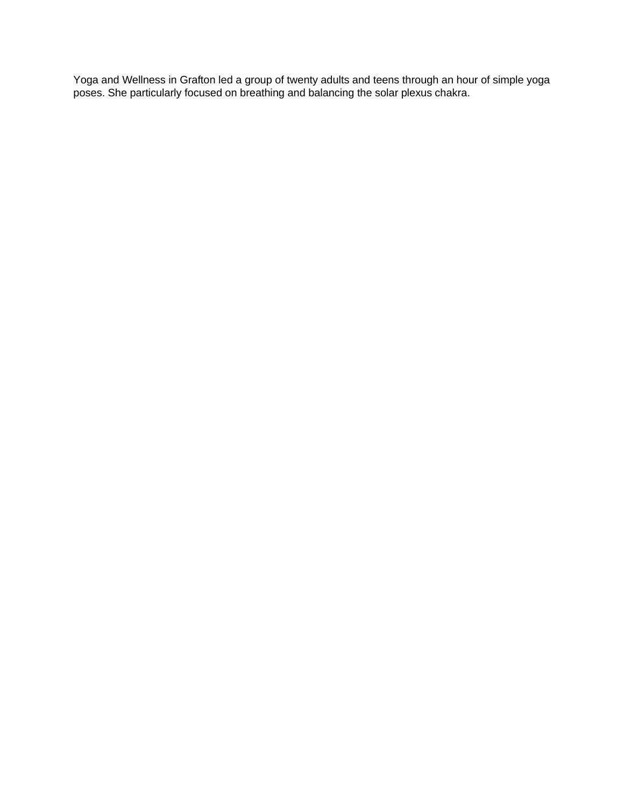Yoga and Wellness in Grafton led a group of twenty adults and teens through an hour of simple yoga poses. She particularly focused on breathing and balancing the solar plexus chakra.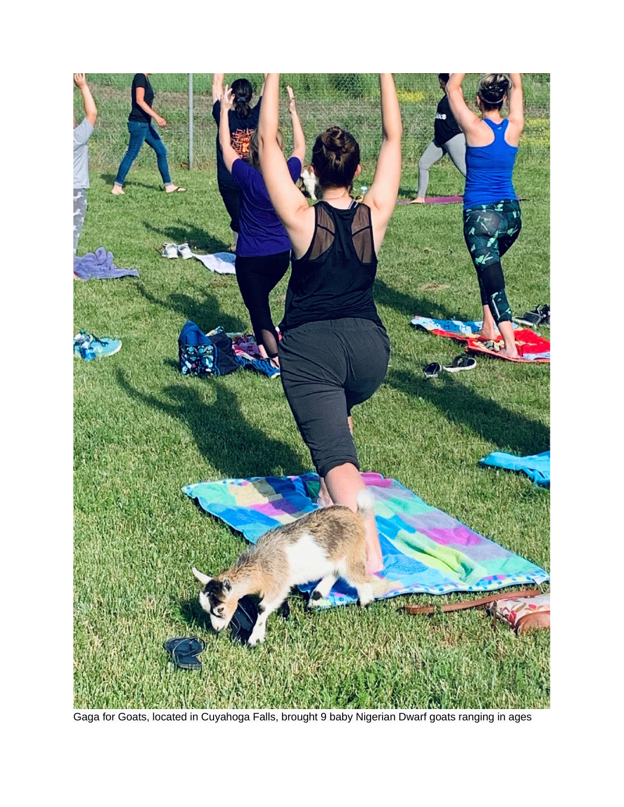

Gaga for Goats, located in Cuyahoga Falls, brought 9 baby Nigerian Dwarf goats ranging in ages